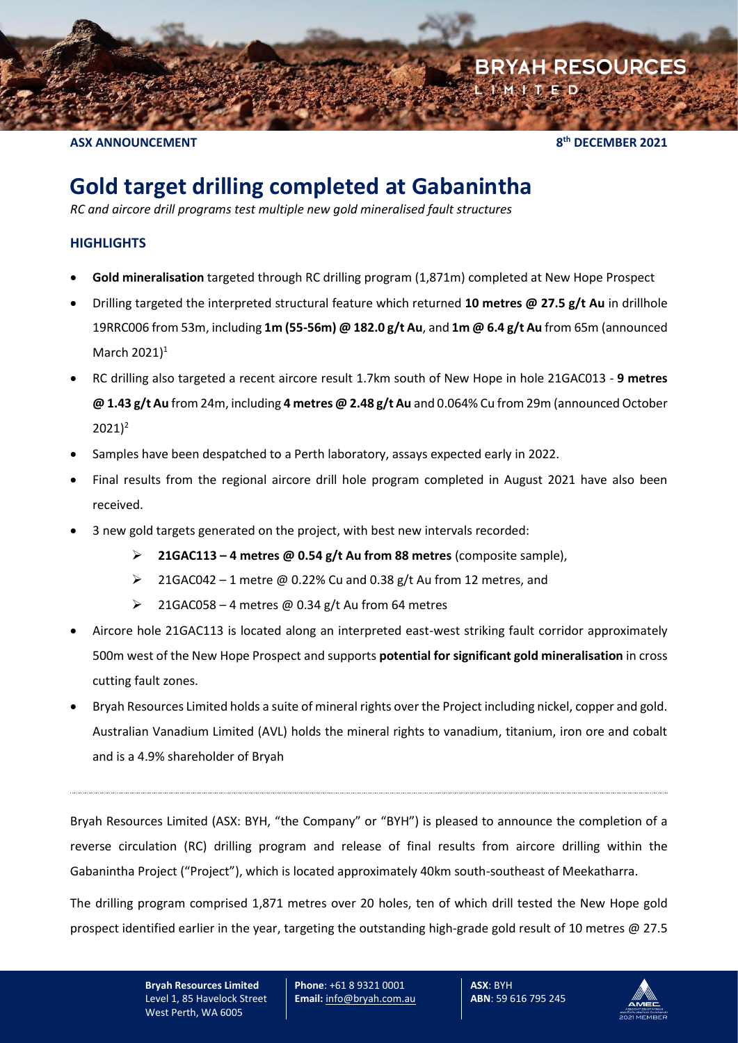**ASX ANNOUNCEMENT 8**

**th DECEMBER 2021**

**BRYAH RESOURCES** 

# **Gold target drilling completed at Gabanintha**

*RC and aircore drill programs test multiple new gold mineralised fault structures*

## **HIGHLIGHTS**

- **Gold mineralisation** targeted through RC drilling program (1,871m) completed at New Hope Prospect
- Drilling targeted the interpreted structural feature which returned **10 metres @ 27.5 g/t Au** in drillhole 19RRC006 from 53m, including **1m (55-56m) @ 182.0 g/t Au**, and **1m @ 6.4 g/t Au** from 65m (announced March 2021) 1
- RC drilling also targeted a recent aircore result 1.7km south of New Hope in hole 21GAC013 **9 metres @ 1.43 g/t Au** from 24m, including **4 metres @ 2.48 g/t Au** and 0.064% Cu from 29m (announced October  $2021$ <sup>2</sup>
- Samples have been despatched to a Perth laboratory, assays expected early in 2022.
- Final results from the regional aircore drill hole program completed in August 2021 have also been received.
- 3 new gold targets generated on the project, with best new intervals recorded:
	- ➢ **21GAC113 – 4 metres @ 0.54 g/t Au from 88 metres** (composite sample),
	- $\geq$  21GAC042 1 metre @ 0.22% Cu and 0.38 g/t Au from 12 metres, and
	- $\geq$  21GAC058 4 metres @ 0.34 g/t Au from 64 metres
- Aircore hole 21GAC113 is located along an interpreted east-west striking fault corridor approximately 500m west of the New Hope Prospect and supports **potential for significant gold mineralisation** in cross cutting fault zones.
- Bryah Resources Limited holds a suite of mineral rights over the Project including nickel, copper and gold. Australian Vanadium Limited (AVL) holds the mineral rights to vanadium, titanium, iron ore and cobalt and is a 4.9% shareholder of Bryah

Bryah Resources Limited (ASX: BYH, "the Company" or "BYH") is pleased to announce the completion of a reverse circulation (RC) drilling program and release of final results from aircore drilling within the Gabanintha Project ("Project"), which is located approximately 40km south-southeast of Meekatharra.

The drilling program comprised 1,871 metres over 20 holes, ten of which drill tested the New Hope gold prospect identified earlier in the year, targeting the outstanding high-grade gold result of 10 metres @ 27.5

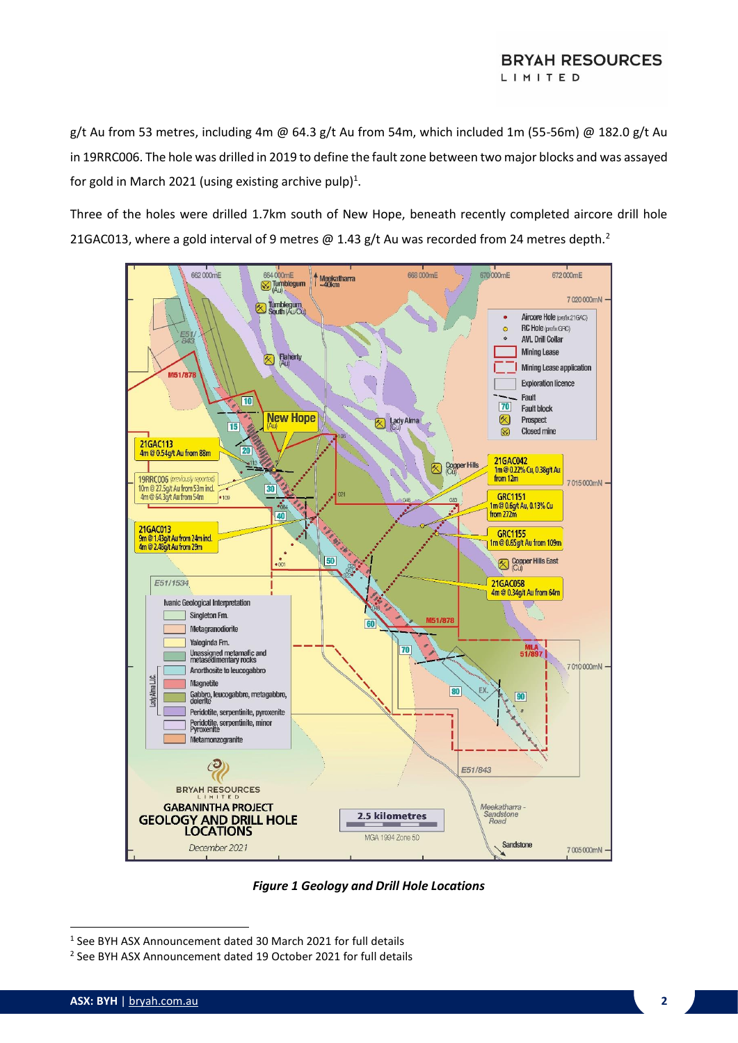#### **BRYAH RESOURCES** LIMITED

g/t Au from 53 metres, including 4m @ 64.3 g/t Au from 54m, which included 1m (55-56m) @ 182.0 g/t Au in 19RRC006. The hole was drilled in 2019 to define the fault zone between two major blocks and was assayed for gold in March 2021 (using existing archive pulp)<sup>1</sup>.

Three of the holes were drilled 1.7km south of New Hope, beneath recently completed aircore drill hole 21GAC013, where a gold interval of 9 metres  $\omega$  1.43 g/t Au was recorded from 24 metres depth.<sup>2</sup>



*Figure 1 Geology and Drill Hole Locations*

<sup>1</sup> See BYH ASX Announcement dated 30 March 2021 for full details

<sup>2</sup> See BYH ASX Announcement dated 19 October 2021 for full details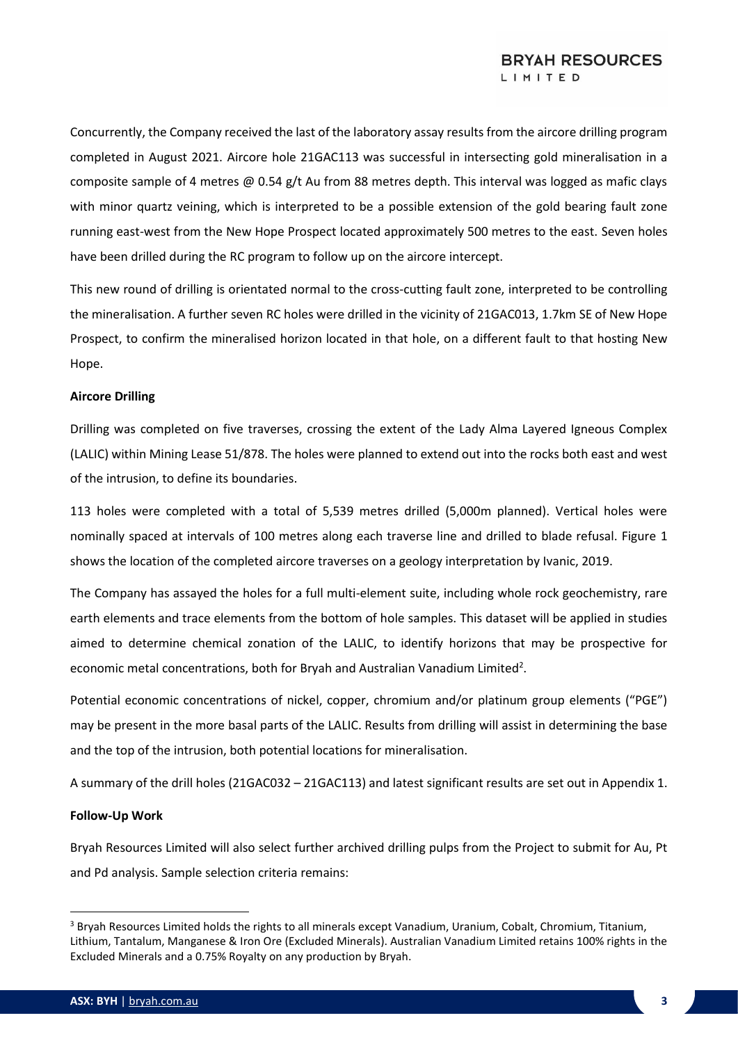Concurrently, the Company received the last of the laboratory assay results from the aircore drilling program completed in August 2021. Aircore hole 21GAC113 was successful in intersecting gold mineralisation in a composite sample of 4 metres @ 0.54 g/t Au from 88 metres depth. This interval was logged as mafic clays with minor quartz veining, which is interpreted to be a possible extension of the gold bearing fault zone running east-west from the New Hope Prospect located approximately 500 metres to the east. Seven holes have been drilled during the RC program to follow up on the aircore intercept.

This new round of drilling is orientated normal to the cross-cutting fault zone, interpreted to be controlling the mineralisation. A further seven RC holes were drilled in the vicinity of 21GAC013, 1.7km SE of New Hope Prospect, to confirm the mineralised horizon located in that hole, on a different fault to that hosting New Hope.

#### **Aircore Drilling**

Drilling was completed on five traverses, crossing the extent of the Lady Alma Layered Igneous Complex (LALIC) within Mining Lease 51/878. The holes were planned to extend out into the rocks both east and west of the intrusion, to define its boundaries.

113 holes were completed with a total of 5,539 metres drilled (5,000m planned). Vertical holes were nominally spaced at intervals of 100 metres along each traverse line and drilled to blade refusal. Figure 1 shows the location of the completed aircore traverses on a geology interpretation by Ivanic, 2019.

The Company has assayed the holes for a full multi-element suite, including whole rock geochemistry, rare earth elements and trace elements from the bottom of hole samples. This dataset will be applied in studies aimed to determine chemical zonation of the LALIC, to identify horizons that may be prospective for economic metal concentrations, both for Bryah and Australian Vanadium Limited<sup>2</sup>.

Potential economic concentrations of nickel, copper, chromium and/or platinum group elements ("PGE") may be present in the more basal parts of the LALIC. Results from drilling will assist in determining the base and the top of the intrusion, both potential locations for mineralisation.

A summary of the drill holes (21GAC032 – 21GAC113) and latest significant results are set out in Appendix 1.

#### **Follow-Up Work**

Bryah Resources Limited will also select further archived drilling pulps from the Project to submit for Au, Pt and Pd analysis. Sample selection criteria remains:

<sup>&</sup>lt;sup>3</sup> Bryah Resources Limited holds the rights to all minerals except Vanadium, Uranium, Cobalt, Chromium, Titanium, Lithium, Tantalum, Manganese & Iron Ore (Excluded Minerals). Australian Vanadium Limited retains 100% rights in the Excluded Minerals and a 0.75% Royalty on any production by Bryah.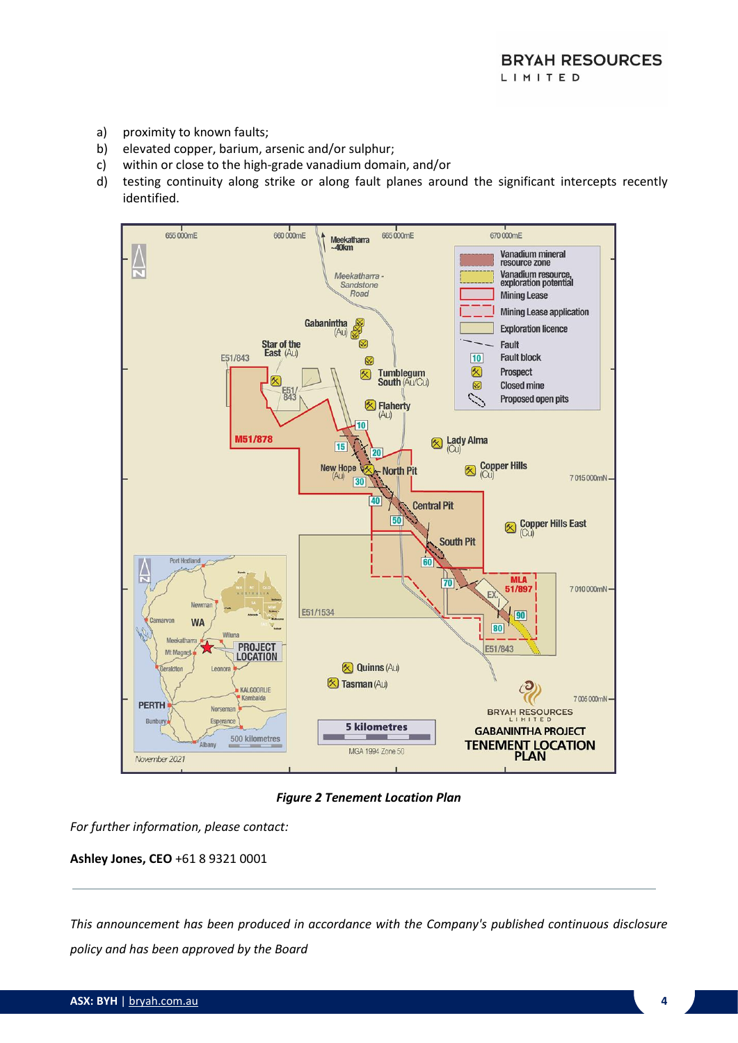- a) proximity to known faults;
- b) elevated copper, barium, arsenic and/or sulphur;
- c) within or close to the high-grade vanadium domain, and/or
- d) testing continuity along strike or along fault planes around the significant intercepts recently identified.



*Figure 2 Tenement Location Plan*

*For further information, please contact:* 

**Ashley Jones, CEO** +61 8 9321 0001

*This announcement has been produced in accordance with the Company's published continuous disclosure policy and has been approved by the Board*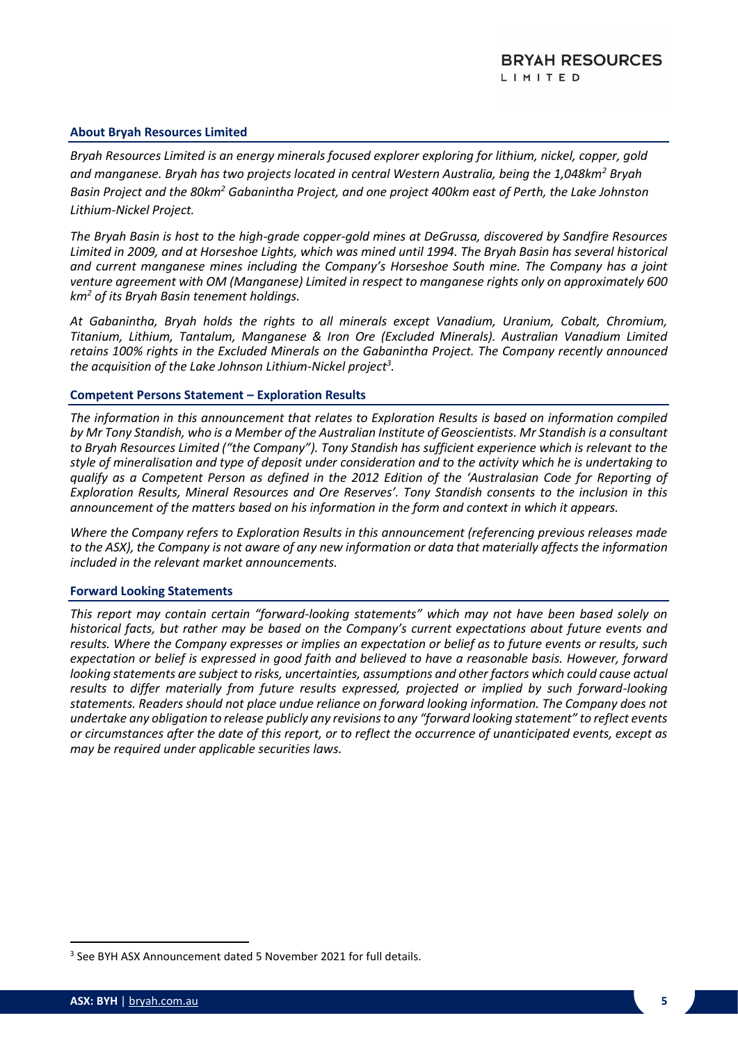#### **About Bryah Resources Limited**

*Bryah Resources Limited is an energy minerals focused explorer exploring for lithium, nickel, copper, gold and manganese. Bryah has two projects located in central Western Australia, being the 1,048km<sup>2</sup> Bryah Basin Project and the 80km<sup>2</sup> Gabanintha Project, and one project 400km east of Perth, the Lake Johnston Lithium-Nickel Project.*

*The Bryah Basin is host to the high-grade copper-gold mines at DeGrussa, discovered by Sandfire Resources Limited in 2009, and at Horseshoe Lights, which was mined until 1994. The Bryah Basin has several historical and current manganese mines including the Company's Horseshoe South mine. The Company has a joint venture agreement with OM (Manganese) Limited in respect to manganese rights only on approximately 600 km<sup>2</sup> of its Bryah Basin tenement holdings.*

*At Gabanintha, Bryah holds the rights to all minerals except Vanadium, Uranium, Cobalt, Chromium, Titanium, Lithium, Tantalum, Manganese & Iron Ore (Excluded Minerals). Australian Vanadium Limited retains 100% rights in the Excluded Minerals on the Gabanintha Project. The Company recently announced the acquisition of the Lake Johnson Lithium-Nickel project<sup>3</sup> .*

#### **Competent Persons Statement – Exploration Results**

*The information in this announcement that relates to Exploration Results is based on information compiled by Mr Tony Standish, who is a Member of the Australian Institute of Geoscientists. Mr Standish is a consultant to Bryah Resources Limited ("the Company"). Tony Standish has sufficient experience which is relevant to the style of mineralisation and type of deposit under consideration and to the activity which he is undertaking to qualify as a Competent Person as defined in the 2012 Edition of the 'Australasian Code for Reporting of Exploration Results, Mineral Resources and Ore Reserves'. Tony Standish consents to the inclusion in this announcement of the matters based on his information in the form and context in which it appears.*

*Where the Company refers to Exploration Results in this announcement (referencing previous releases made to the ASX), the Company is not aware of any new information or data that materially affects the information included in the relevant market announcements.* 

#### **Forward Looking Statements**

*This report may contain certain "forward-looking statements" which may not have been based solely on historical facts, but rather may be based on the Company's current expectations about future events and results. Where the Company expresses or implies an expectation or belief as to future events or results, such expectation or belief is expressed in good faith and believed to have a reasonable basis. However, forward looking statements are subject to risks, uncertainties, assumptions and other factors which could cause actual results to differ materially from future results expressed, projected or implied by such forward-looking statements. Readers should not place undue reliance on forward looking information. The Company does not undertake any obligation to release publicly any revisions to any "forward looking statement" to reflect events or circumstances after the date of this report, or to reflect the occurrence of unanticipated events, except as may be required under applicable securities laws.*

<sup>&</sup>lt;sup>3</sup> See BYH ASX Announcement dated 5 November 2021 for full details.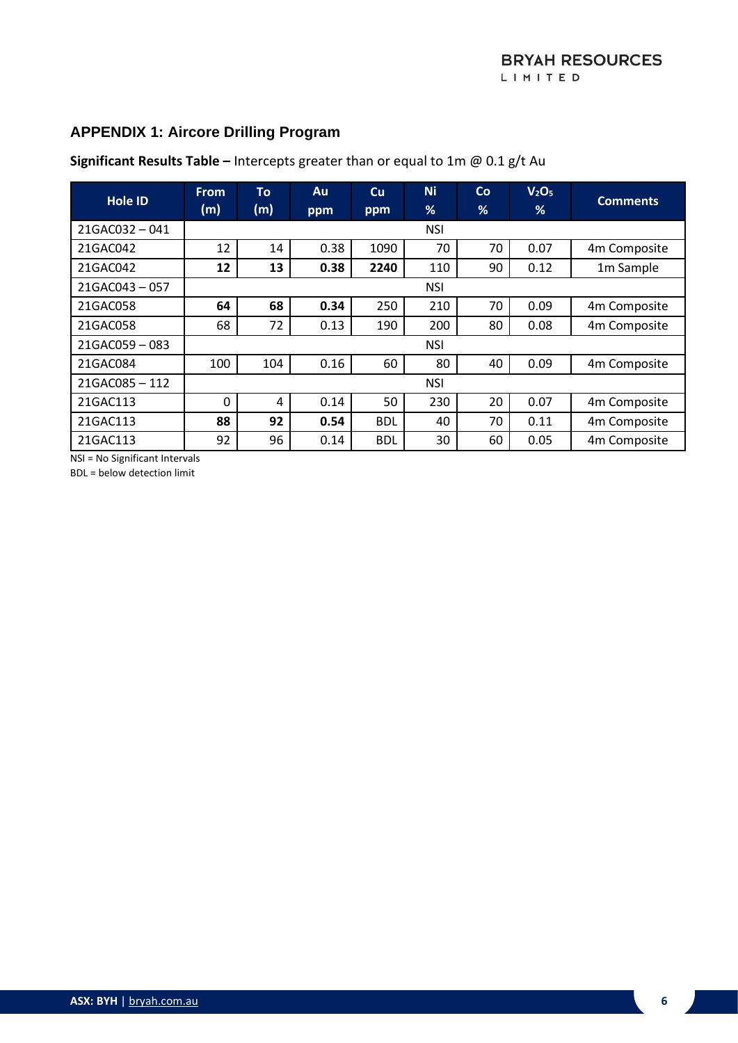# **APPENDIX 1: Aircore Drilling Program**

| <b>Hole ID</b>   | <b>From</b><br>(m) | To<br>(m)  | Au<br>ppm | Cu<br>ppm  | <b>Ni</b><br>% | Co<br>% | V <sub>2</sub> O <sub>5</sub><br>% | <b>Comments</b> |
|------------------|--------------------|------------|-----------|------------|----------------|---------|------------------------------------|-----------------|
| $21GAC032 - 041$ |                    |            |           |            | <b>NSI</b>     |         |                                    |                 |
| 21GAC042         | 12                 | 14         | 0.38      | 1090       | 70             | 70      | 0.07                               | 4m Composite    |
| 21GAC042         | 12                 | 13         | 0.38      | 2240       | 110            | 90      | 0.12                               | 1m Sample       |
| $21GAC043 - 057$ |                    |            |           |            | <b>NSI</b>     |         |                                    |                 |
| 21GAC058         | 64                 | 68         | 0.34      | 250        | 210            | 70      | 0.09                               | 4m Composite    |
| 21GAC058         | 68                 | 72         | 0.13      | 190        | 200            | 80      | 0.08                               | 4m Composite    |
| 21GAC059-083     |                    | <b>NSI</b> |           |            |                |         |                                    |                 |
| 21GAC084         | 100                | 104        | 0.16      | 60         | 80             | 40      | 0.09                               | 4m Composite    |
| 21GAC085-112     |                    | <b>NSI</b> |           |            |                |         |                                    |                 |
| 21GAC113         | 0                  | 4          | 0.14      | 50         | 230            | 20      | 0.07                               | 4m Composite    |
| 21GAC113         | 88                 | 92         | 0.54      | <b>BDL</b> | 40             | 70      | 0.11                               | 4m Composite    |
| 21GAC113         | 92                 | 96         | 0.14      | <b>BDL</b> | 30             | 60      | 0.05                               | 4m Composite    |

**Significant Results Table –** Intercepts greater than or equal to 1m @ 0.1 g/t Au

NSI = No Significant Intervals

BDL = below detection limit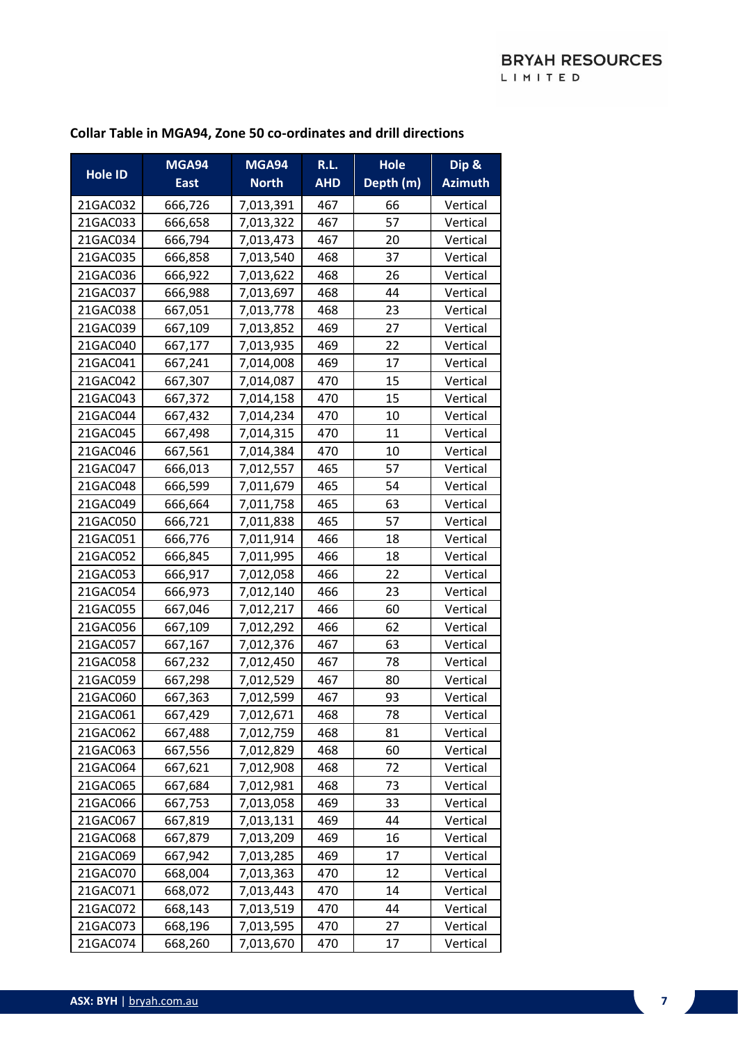#### **Hole ID MGA94 East MGA94 North R.L. AHD Hole Depth (m) Dip & Azimuth** 21GAC032 666.726 7.013.391 467 66 Vertical 21GAC033 666,658 7.013.322 467 57 7 21GAC034 | 666,794 | 7,013,473 | 467 | 20 | Vertical 21GAC035 666,858 7.013,540 468 37 70tical 21GAC036 666,922 7,013,622 468 26 Vertical 21GAC037 666,988 7,013,697 468 44 Vertical 21GAC038 667,051 7,013,778 468 23 Vertical 21GAC039 667,109 7,013,852 469 27 Vertical 21GAC040 667,177 7,013,935 469 22 Vertical 21GAC041 667,241 7,014,008 469 17 Vertical 21GAC042 | 667,307 | 7,014,087 | 470 | 15 | Vertical 21GAC043 | 667,372 | 7,014,158 | 470 | 15 | Vertical 21GAC044 667,432 7,014,234 470 10 Vertical 21GAC045 | 667,498 | 7,014,315 | 470 | 11 | Vertical 21GAC046 667,561 7,014,384 470 10 Vertical 21GAC047 | 666.013 | 7.012.557 | 465 | 57 | Vertical 21GAC048 666.599 7.011.679 465 34 Vertical 21GAC049 666,664 7.011.758 465 63 70 21GAC050 666.721 7.011.838 465 57 7 9 21GAC051 666.776 7.011.914 466 1 18 Vertical 21GAC052 | 666,845 | 7,011,995 | 466 | 18 | Vertical 21GAC053 666,917 7,012,058 466 22 Vertical 21GAC054 666,973 7,012,140 466 23 Vertical 21GAC055 667,046 7,012,217 466 60 Vertical 21GAC056 667,109 7,012,292 466 62 Vertical 21GAC057 | 667,167 | 7,012,376 | 467 | 63 | Vertical 21GAC058 | 667,232 | 7,012,450 | 467 | 78 | Vertical 21GAC059 667,298 7,012,529 467 80 Vertical 21GAC060 667,363 7,012,599 467 93 Vertical 21GAC061 667,429 7,012,671 468 78 Vertical 21GAC062 667,488 7,012,759 468 81 Vertical 21GAC063 667,556 7,012,829 468 60 7.012,829 468 21GAC064 667.621 7.012.908 468 72 Vertical 21GAC065 667,684 7,012,981 468 73 Vertical 21GAC066 667.753 7.013.058 469 33 Vertical 21GAC067 667,819 7,013,131 469 44 Vertical 21GAC068 667.879 7.013.209 469 16 16 Vertical 21GAC069 667.942 7.013.285 469 17 Vertical 21GAC070 668,004 7,013,363 470 12 Vertical 21GAC071 668,072 7,013,443 470 14 Vertical 21GAC072 | 668,143 | 7,013,519 | 470 | 44 | Vertical 21GAC073 | 668,196 | 7,013,595 | 470 | 27 | Vertical 21GAC074 668,260 7,013,670 470 17 Vertical

#### **Collar Table in MGA94, Zone 50 co-ordinates and drill directions**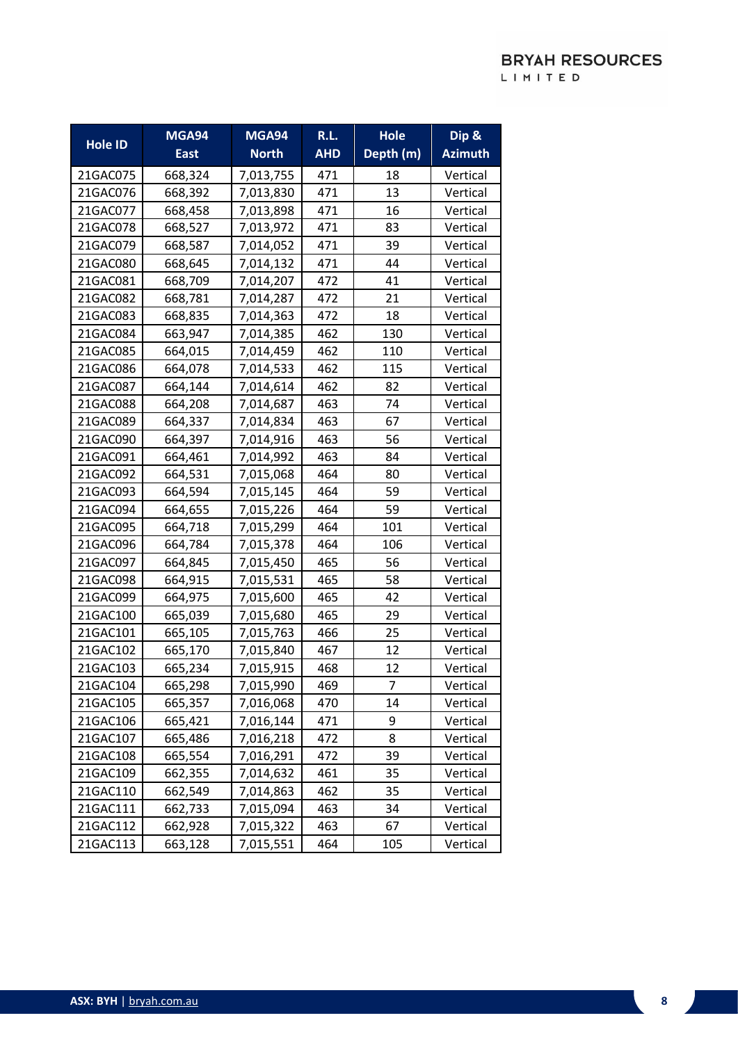|                | <b>MGA94</b> | <b>MGA94</b> | R.L.       | <b>Hole</b> | Dip &          |
|----------------|--------------|--------------|------------|-------------|----------------|
| <b>Hole ID</b> | <b>East</b>  | <b>North</b> | <b>AHD</b> | Depth (m)   | <b>Azimuth</b> |
| 21GAC075       | 668,324      | 7,013,755    | 471        | 18          | Vertical       |
| 21GAC076       | 668,392      | 7,013,830    | 471        | 13          | Vertical       |
| 21GAC077       | 668,458      | 7,013,898    | 471        | 16          | Vertical       |
| 21GAC078       | 668,527      | 7,013,972    | 471        | 83          | Vertical       |
| 21GAC079       | 668,587      | 7,014,052    | 471        | 39          | Vertical       |
| 21GAC080       | 668,645      | 7,014,132    | 471        | 44          | Vertical       |
| 21GAC081       | 668,709      | 7,014,207    | 472        | 41          | Vertical       |
| 21GAC082       | 668,781      | 7,014,287    | 472        | 21          | Vertical       |
| 21GAC083       | 668,835      | 7,014,363    | 472        | 18          | Vertical       |
| 21GAC084       | 663,947      | 7,014,385    | 462        | 130         | Vertical       |
| 21GAC085       | 664,015      | 7,014,459    | 462        | 110         | Vertical       |
| 21GAC086       | 664,078      | 7,014,533    | 462        | 115         | Vertical       |
| 21GAC087       | 664,144      | 7,014,614    | 462        | 82          | Vertical       |
| 21GAC088       | 664,208      | 7,014,687    | 463        | 74          | Vertical       |
| 21GAC089       | 664,337      | 7,014,834    | 463        | 67          | Vertical       |
| 21GAC090       | 664,397      | 7,014,916    | 463        | 56          | Vertical       |
| 21GAC091       | 664,461      | 7,014,992    | 463        | 84          | Vertical       |
| 21GAC092       | 664,531      | 7,015,068    | 464        | 80          | Vertical       |
| 21GAC093       | 664,594      | 7,015,145    | 464        | 59          | Vertical       |
| 21GAC094       | 664,655      | 7,015,226    | 464        | 59          | Vertical       |
| 21GAC095       | 664,718      | 7,015,299    | 464        | 101         | Vertical       |
| 21GAC096       | 664,784      | 7,015,378    | 464        | 106         | Vertical       |
| 21GAC097       | 664,845      | 7,015,450    | 465        | 56          | Vertical       |
| 21GAC098       | 664,915      | 7,015,531    | 465        | 58          | Vertical       |
| 21GAC099       | 664,975      | 7,015,600    | 465        | 42          | Vertical       |
| 21GAC100       | 665,039      | 7,015,680    | 465        | 29          | Vertical       |
| 21GAC101       | 665,105      | 7,015,763    | 466        | 25          | Vertical       |
| 21GAC102       | 665,170      | 7,015,840    | 467        | 12          | Vertical       |
| 21GAC103       | 665,234      | 7,015,915    | 468        | 12          | Vertical       |
| 21GAC104       | 665,298      | 7,015,990    | 469        | 7           | Vertical       |
| 21GAC105       | 665,357      | 7,016,068    | 470        | 14          | Vertical       |
| 21GAC106       | 665,421      | 7,016,144    | 471        | 9           | Vertical       |
| 21GAC107       | 665,486      | 7,016,218    | 472        | 8           | Vertical       |
| 21GAC108       | 665,554      | 7,016,291    | 472        | 39          | Vertical       |
| 21GAC109       | 662,355      | 7,014,632    | 461        | 35          | Vertical       |
| 21GAC110       | 662,549      | 7,014,863    | 462        | 35          | Vertical       |
| 21GAC111       | 662,733      | 7,015,094    | 463        | 34          | Vertical       |
| 21GAC112       | 662,928      | 7,015,322    | 463        | 67          | Vertical       |
| 21GAC113       | 663,128      | 7,015,551    | 464        | 105         | Vertical       |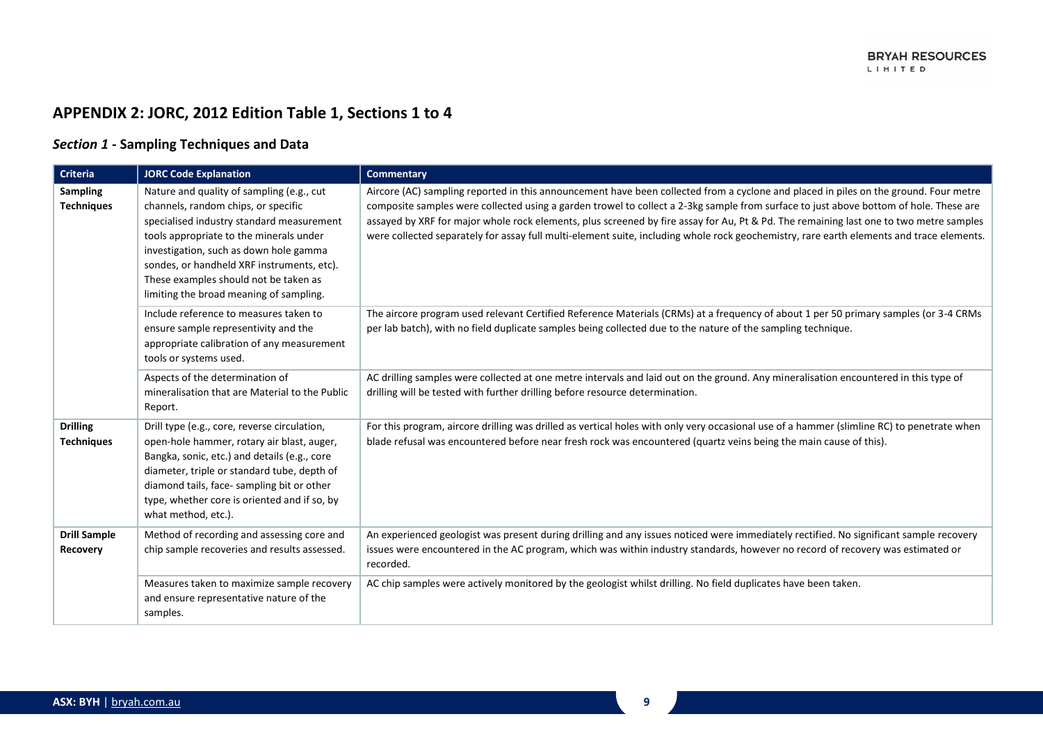# **APPENDIX 2: JORC, 2012 Edition Table 1, Sections 1 to 4**

### *Section 1* **- Sampling Techniques and Data**

| Criteria                               | <b>JORC Code Explanation</b>                                                                                                                                                                                                                                                                                                                         | <b>Commentary</b>                                                                                                                                                                                                                                                                                                                                                                                                                                                                                                                                                   |
|----------------------------------------|------------------------------------------------------------------------------------------------------------------------------------------------------------------------------------------------------------------------------------------------------------------------------------------------------------------------------------------------------|---------------------------------------------------------------------------------------------------------------------------------------------------------------------------------------------------------------------------------------------------------------------------------------------------------------------------------------------------------------------------------------------------------------------------------------------------------------------------------------------------------------------------------------------------------------------|
| <b>Sampling</b><br><b>Techniques</b>   | Nature and quality of sampling (e.g., cut<br>channels, random chips, or specific<br>specialised industry standard measurement<br>tools appropriate to the minerals under<br>investigation, such as down hole gamma<br>sondes, or handheld XRF instruments, etc).<br>These examples should not be taken as<br>limiting the broad meaning of sampling. | Aircore (AC) sampling reported in this announcement have been collected from a cyclone and placed in piles on the ground. Four metre<br>composite samples were collected using a garden trowel to collect a 2-3kg sample from surface to just above bottom of hole. These are<br>assayed by XRF for major whole rock elements, plus screened by fire assay for Au, Pt & Pd. The remaining last one to two metre samples<br>were collected separately for assay full multi-element suite, including whole rock geochemistry, rare earth elements and trace elements. |
|                                        | Include reference to measures taken to<br>ensure sample representivity and the<br>appropriate calibration of any measurement<br>tools or systems used.                                                                                                                                                                                               | The aircore program used relevant Certified Reference Materials (CRMs) at a frequency of about 1 per 50 primary samples (or 3-4 CRMs<br>per lab batch), with no field duplicate samples being collected due to the nature of the sampling technique.                                                                                                                                                                                                                                                                                                                |
|                                        | Aspects of the determination of<br>mineralisation that are Material to the Public<br>Report.                                                                                                                                                                                                                                                         | AC drilling samples were collected at one metre intervals and laid out on the ground. Any mineralisation encountered in this type of<br>drilling will be tested with further drilling before resource determination.                                                                                                                                                                                                                                                                                                                                                |
| <b>Drilling</b><br><b>Techniques</b>   | Drill type (e.g., core, reverse circulation,<br>open-hole hammer, rotary air blast, auger,<br>Bangka, sonic, etc.) and details (e.g., core<br>diameter, triple or standard tube, depth of<br>diamond tails, face-sampling bit or other<br>type, whether core is oriented and if so, by<br>what method, etc.).                                        | For this program, aircore drilling was drilled as vertical holes with only very occasional use of a hammer (slimline RC) to penetrate when<br>blade refusal was encountered before near fresh rock was encountered (quartz veins being the main cause of this).                                                                                                                                                                                                                                                                                                     |
| <b>Drill Sample</b><br><b>Recovery</b> | Method of recording and assessing core and<br>chip sample recoveries and results assessed.                                                                                                                                                                                                                                                           | An experienced geologist was present during drilling and any issues noticed were immediately rectified. No significant sample recovery<br>issues were encountered in the AC program, which was within industry standards, however no record of recovery was estimated or<br>recorded.                                                                                                                                                                                                                                                                               |
|                                        | Measures taken to maximize sample recovery<br>and ensure representative nature of the<br>samples.                                                                                                                                                                                                                                                    | AC chip samples were actively monitored by the geologist whilst drilling. No field duplicates have been taken.                                                                                                                                                                                                                                                                                                                                                                                                                                                      |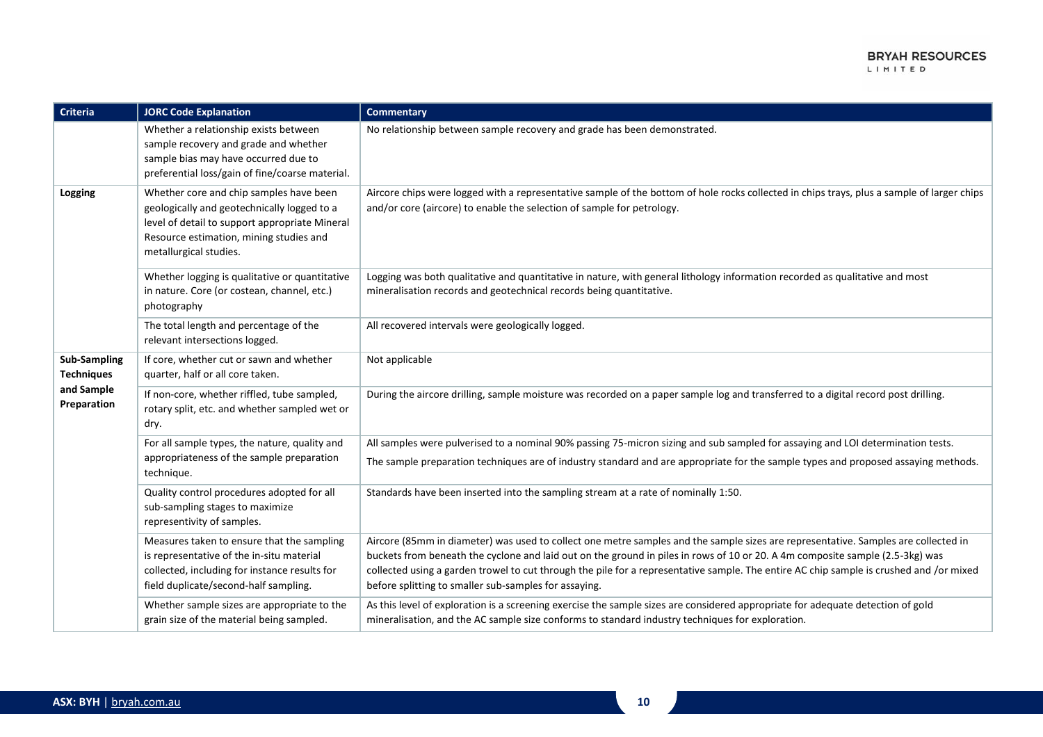| Criteria                                 | <b>JORC Code Explanation</b>                                                                                                                                                                                  | <b>Commentary</b>                                                                                                                                                                                                                                                                                                                                                                                                                                                       |
|------------------------------------------|---------------------------------------------------------------------------------------------------------------------------------------------------------------------------------------------------------------|-------------------------------------------------------------------------------------------------------------------------------------------------------------------------------------------------------------------------------------------------------------------------------------------------------------------------------------------------------------------------------------------------------------------------------------------------------------------------|
|                                          | Whether a relationship exists between<br>sample recovery and grade and whether<br>sample bias may have occurred due to<br>preferential loss/gain of fine/coarse material.                                     | No relationship between sample recovery and grade has been demonstrated.                                                                                                                                                                                                                                                                                                                                                                                                |
| Logging                                  | Whether core and chip samples have been<br>geologically and geotechnically logged to a<br>level of detail to support appropriate Mineral<br>Resource estimation, mining studies and<br>metallurgical studies. | Aircore chips were logged with a representative sample of the bottom of hole rocks collected in chips trays, plus a sample of larger chips<br>and/or core (aircore) to enable the selection of sample for petrology.                                                                                                                                                                                                                                                    |
|                                          | Whether logging is qualitative or quantitative<br>in nature. Core (or costean, channel, etc.)<br>photography                                                                                                  | Logging was both qualitative and quantitative in nature, with general lithology information recorded as qualitative and most<br>mineralisation records and geotechnical records being quantitative.                                                                                                                                                                                                                                                                     |
|                                          | The total length and percentage of the<br>relevant intersections logged.                                                                                                                                      | All recovered intervals were geologically logged.                                                                                                                                                                                                                                                                                                                                                                                                                       |
| <b>Sub-Sampling</b><br><b>Techniques</b> | If core, whether cut or sawn and whether<br>quarter, half or all core taken.                                                                                                                                  | Not applicable                                                                                                                                                                                                                                                                                                                                                                                                                                                          |
| and Sample<br>Preparation                | If non-core, whether riffled, tube sampled,<br>rotary split, etc. and whether sampled wet or<br>dry.                                                                                                          | During the aircore drilling, sample moisture was recorded on a paper sample log and transferred to a digital record post drilling.                                                                                                                                                                                                                                                                                                                                      |
|                                          | For all sample types, the nature, quality and                                                                                                                                                                 | All samples were pulverised to a nominal 90% passing 75-micron sizing and sub sampled for assaying and LOI determination tests.                                                                                                                                                                                                                                                                                                                                         |
|                                          | appropriateness of the sample preparation<br>technique.                                                                                                                                                       | The sample preparation techniques are of industry standard and are appropriate for the sample types and proposed assaying methods.                                                                                                                                                                                                                                                                                                                                      |
|                                          | Quality control procedures adopted for all<br>sub-sampling stages to maximize<br>representivity of samples.                                                                                                   | Standards have been inserted into the sampling stream at a rate of nominally 1:50.                                                                                                                                                                                                                                                                                                                                                                                      |
|                                          | Measures taken to ensure that the sampling<br>is representative of the in-situ material<br>collected, including for instance results for<br>field duplicate/second-half sampling.                             | Aircore (85mm in diameter) was used to collect one metre samples and the sample sizes are representative. Samples are collected in<br>buckets from beneath the cyclone and laid out on the ground in piles in rows of 10 or 20. A 4m composite sample (2.5-3kg) was<br>collected using a garden trowel to cut through the pile for a representative sample. The entire AC chip sample is crushed and /or mixed<br>before splitting to smaller sub-samples for assaying. |
|                                          | Whether sample sizes are appropriate to the<br>grain size of the material being sampled.                                                                                                                      | As this level of exploration is a screening exercise the sample sizes are considered appropriate for adequate detection of gold<br>mineralisation, and the AC sample size conforms to standard industry techniques for exploration.                                                                                                                                                                                                                                     |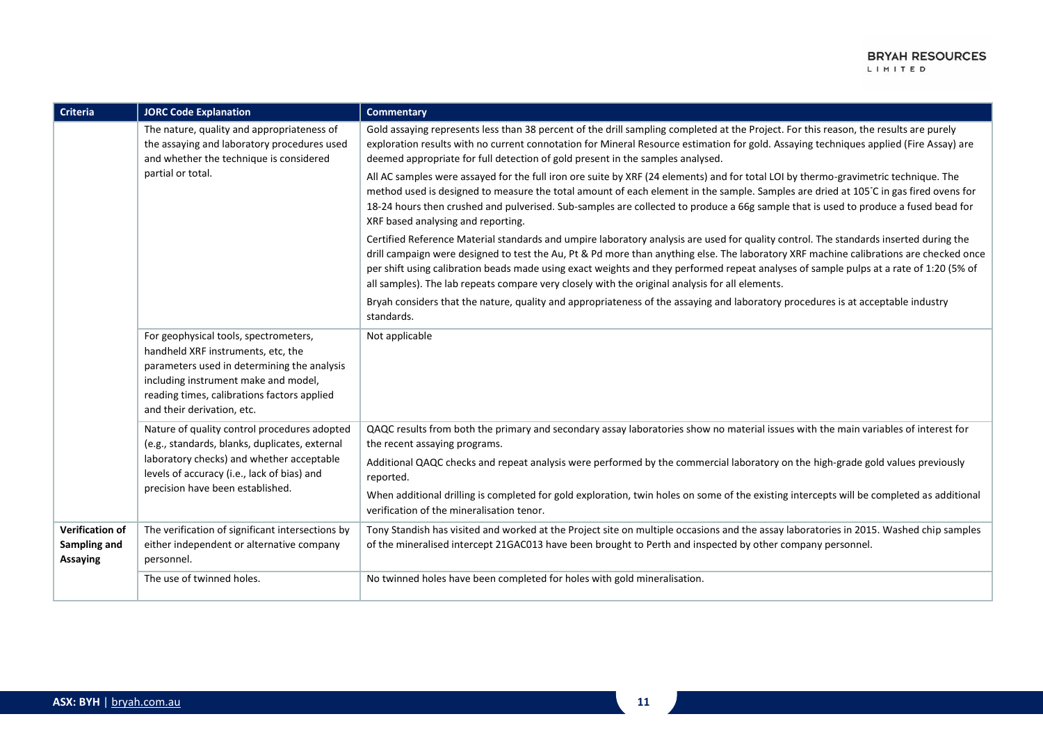| <b>Criteria</b>                                    | <b>JORC Code Explanation</b>                                                                                                                                                                                                                    | <b>Commentary</b>                                                                                                                                                                                                                                                                                                                                                                                                                                                                                                            |
|----------------------------------------------------|-------------------------------------------------------------------------------------------------------------------------------------------------------------------------------------------------------------------------------------------------|------------------------------------------------------------------------------------------------------------------------------------------------------------------------------------------------------------------------------------------------------------------------------------------------------------------------------------------------------------------------------------------------------------------------------------------------------------------------------------------------------------------------------|
|                                                    | The nature, quality and appropriateness of<br>the assaying and laboratory procedures used<br>and whether the technique is considered                                                                                                            | Gold assaying represents less than 38 percent of the drill sampling completed at the Project. For this reason, the results are purely<br>exploration results with no current connotation for Mineral Resource estimation for gold. Assaying techniques applied (Fire Assay) are<br>deemed appropriate for full detection of gold present in the samples analysed.                                                                                                                                                            |
|                                                    | partial or total.                                                                                                                                                                                                                               | All AC samples were assayed for the full iron ore suite by XRF (24 elements) and for total LOI by thermo-gravimetric technique. The<br>method used is designed to measure the total amount of each element in the sample. Samples are dried at 105°C in gas fired ovens for<br>18-24 hours then crushed and pulverised. Sub-samples are collected to produce a 66g sample that is used to produce a fused bead for<br>XRF based analysing and reporting.                                                                     |
|                                                    |                                                                                                                                                                                                                                                 | Certified Reference Material standards and umpire laboratory analysis are used for quality control. The standards inserted during the<br>drill campaign were designed to test the Au, Pt & Pd more than anything else. The laboratory XRF machine calibrations are checked once<br>per shift using calibration beads made using exact weights and they performed repeat analyses of sample pulps at a rate of 1:20 (5% of<br>all samples). The lab repeats compare very closely with the original analysis for all elements. |
|                                                    |                                                                                                                                                                                                                                                 | Bryah considers that the nature, quality and appropriateness of the assaying and laboratory procedures is at acceptable industry<br>standards.                                                                                                                                                                                                                                                                                                                                                                               |
|                                                    | For geophysical tools, spectrometers,<br>handheld XRF instruments, etc, the<br>parameters used in determining the analysis<br>including instrument make and model,<br>reading times, calibrations factors applied<br>and their derivation, etc. | Not applicable                                                                                                                                                                                                                                                                                                                                                                                                                                                                                                               |
|                                                    | Nature of quality control procedures adopted<br>(e.g., standards, blanks, duplicates, external                                                                                                                                                  | QAQC results from both the primary and secondary assay laboratories show no material issues with the main variables of interest for<br>the recent assaying programs.                                                                                                                                                                                                                                                                                                                                                         |
|                                                    | laboratory checks) and whether acceptable<br>levels of accuracy (i.e., lack of bias) and                                                                                                                                                        | Additional QAQC checks and repeat analysis were performed by the commercial laboratory on the high-grade gold values previously<br>reported.                                                                                                                                                                                                                                                                                                                                                                                 |
|                                                    | precision have been established.                                                                                                                                                                                                                | When additional drilling is completed for gold exploration, twin holes on some of the existing intercepts will be completed as additional<br>verification of the mineralisation tenor.                                                                                                                                                                                                                                                                                                                                       |
| <b>Verification of</b><br>Sampling and<br>Assaying | The verification of significant intersections by<br>either independent or alternative company<br>personnel.                                                                                                                                     | Tony Standish has visited and worked at the Project site on multiple occasions and the assay laboratories in 2015. Washed chip samples<br>of the mineralised intercept 21GAC013 have been brought to Perth and inspected by other company personnel.                                                                                                                                                                                                                                                                         |
|                                                    | The use of twinned holes.                                                                                                                                                                                                                       | No twinned holes have been completed for holes with gold mineralisation.                                                                                                                                                                                                                                                                                                                                                                                                                                                     |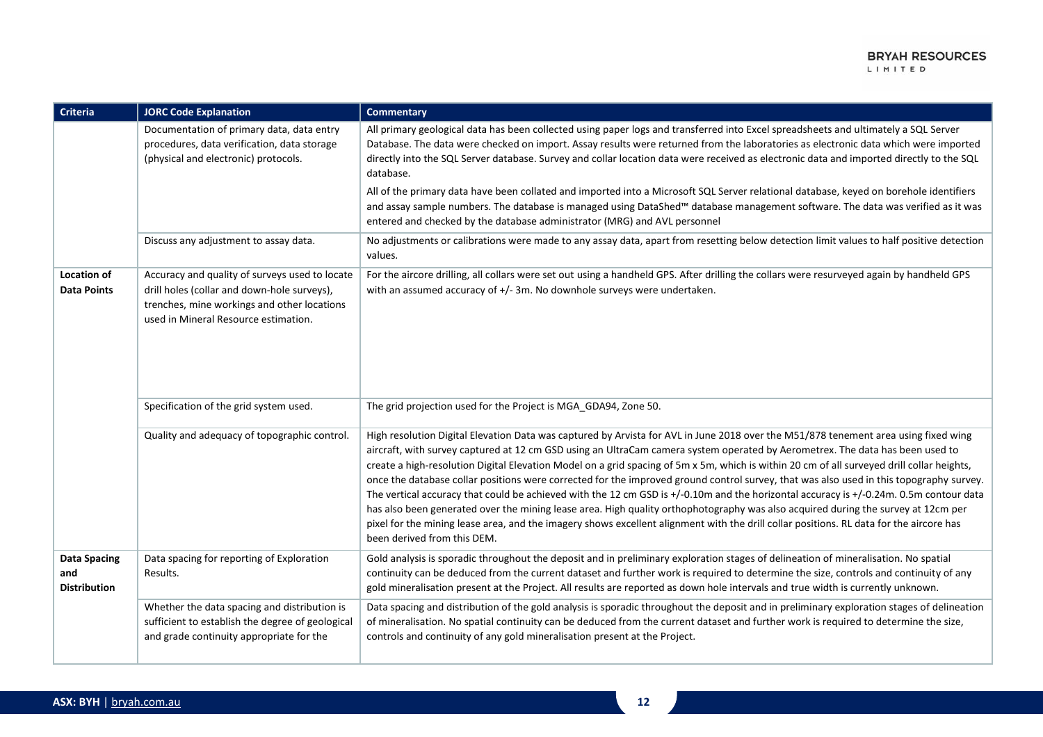| Criteria                                          | <b>JORC Code Explanation</b>                                                                                                                                                         | <b>Commentary</b>                                                                                                                                                                                                                                                                                                                                                                                                                                                                                                                                                                                                                                                                                                                                                                                                                                                                                                                                                                                                      |
|---------------------------------------------------|--------------------------------------------------------------------------------------------------------------------------------------------------------------------------------------|------------------------------------------------------------------------------------------------------------------------------------------------------------------------------------------------------------------------------------------------------------------------------------------------------------------------------------------------------------------------------------------------------------------------------------------------------------------------------------------------------------------------------------------------------------------------------------------------------------------------------------------------------------------------------------------------------------------------------------------------------------------------------------------------------------------------------------------------------------------------------------------------------------------------------------------------------------------------------------------------------------------------|
|                                                   | Documentation of primary data, data entry<br>procedures, data verification, data storage<br>(physical and electronic) protocols.                                                     | All primary geological data has been collected using paper logs and transferred into Excel spreadsheets and ultimately a SQL Server<br>Database. The data were checked on import. Assay results were returned from the laboratories as electronic data which were imported<br>directly into the SQL Server database. Survey and collar location data were received as electronic data and imported directly to the SQL<br>database.                                                                                                                                                                                                                                                                                                                                                                                                                                                                                                                                                                                    |
|                                                   |                                                                                                                                                                                      | All of the primary data have been collated and imported into a Microsoft SQL Server relational database, keyed on borehole identifiers<br>and assay sample numbers. The database is managed using DataShed™ database management software. The data was verified as it was<br>entered and checked by the database administrator (MRG) and AVL personnel                                                                                                                                                                                                                                                                                                                                                                                                                                                                                                                                                                                                                                                                 |
|                                                   | Discuss any adjustment to assay data.                                                                                                                                                | No adjustments or calibrations were made to any assay data, apart from resetting below detection limit values to half positive detection<br>values.                                                                                                                                                                                                                                                                                                                                                                                                                                                                                                                                                                                                                                                                                                                                                                                                                                                                    |
| Location of<br><b>Data Points</b>                 | Accuracy and quality of surveys used to locate<br>drill holes (collar and down-hole surveys),<br>trenches, mine workings and other locations<br>used in Mineral Resource estimation. | For the aircore drilling, all collars were set out using a handheld GPS. After drilling the collars were resurveyed again by handheld GPS<br>with an assumed accuracy of +/- 3m. No downhole surveys were undertaken.                                                                                                                                                                                                                                                                                                                                                                                                                                                                                                                                                                                                                                                                                                                                                                                                  |
|                                                   | Specification of the grid system used.                                                                                                                                               | The grid projection used for the Project is MGA_GDA94, Zone 50.                                                                                                                                                                                                                                                                                                                                                                                                                                                                                                                                                                                                                                                                                                                                                                                                                                                                                                                                                        |
|                                                   | Quality and adequacy of topographic control.                                                                                                                                         | High resolution Digital Elevation Data was captured by Arvista for AVL in June 2018 over the M51/878 tenement area using fixed wing<br>aircraft, with survey captured at 12 cm GSD using an UltraCam camera system operated by Aerometrex. The data has been used to<br>create a high-resolution Digital Elevation Model on a grid spacing of 5m x 5m, which is within 20 cm of all surveyed drill collar heights,<br>once the database collar positions were corrected for the improved ground control survey, that was also used in this topography survey.<br>The vertical accuracy that could be achieved with the 12 cm GSD is +/-0.10m and the horizontal accuracy is +/-0.24m. 0.5m contour data<br>has also been generated over the mining lease area. High quality orthophotography was also acquired during the survey at 12cm per<br>pixel for the mining lease area, and the imagery shows excellent alignment with the drill collar positions. RL data for the aircore has<br>been derived from this DEM. |
| <b>Data Spacing</b><br>and<br><b>Distribution</b> | Data spacing for reporting of Exploration<br>Results.                                                                                                                                | Gold analysis is sporadic throughout the deposit and in preliminary exploration stages of delineation of mineralisation. No spatial<br>continuity can be deduced from the current dataset and further work is required to determine the size, controls and continuity of any<br>gold mineralisation present at the Project. All results are reported as down hole intervals and true width is currently unknown.                                                                                                                                                                                                                                                                                                                                                                                                                                                                                                                                                                                                       |
|                                                   | Whether the data spacing and distribution is<br>sufficient to establish the degree of geological<br>and grade continuity appropriate for the                                         | Data spacing and distribution of the gold analysis is sporadic throughout the deposit and in preliminary exploration stages of delineation<br>of mineralisation. No spatial continuity can be deduced from the current dataset and further work is required to determine the size,<br>controls and continuity of any gold mineralisation present at the Project.                                                                                                                                                                                                                                                                                                                                                                                                                                                                                                                                                                                                                                                       |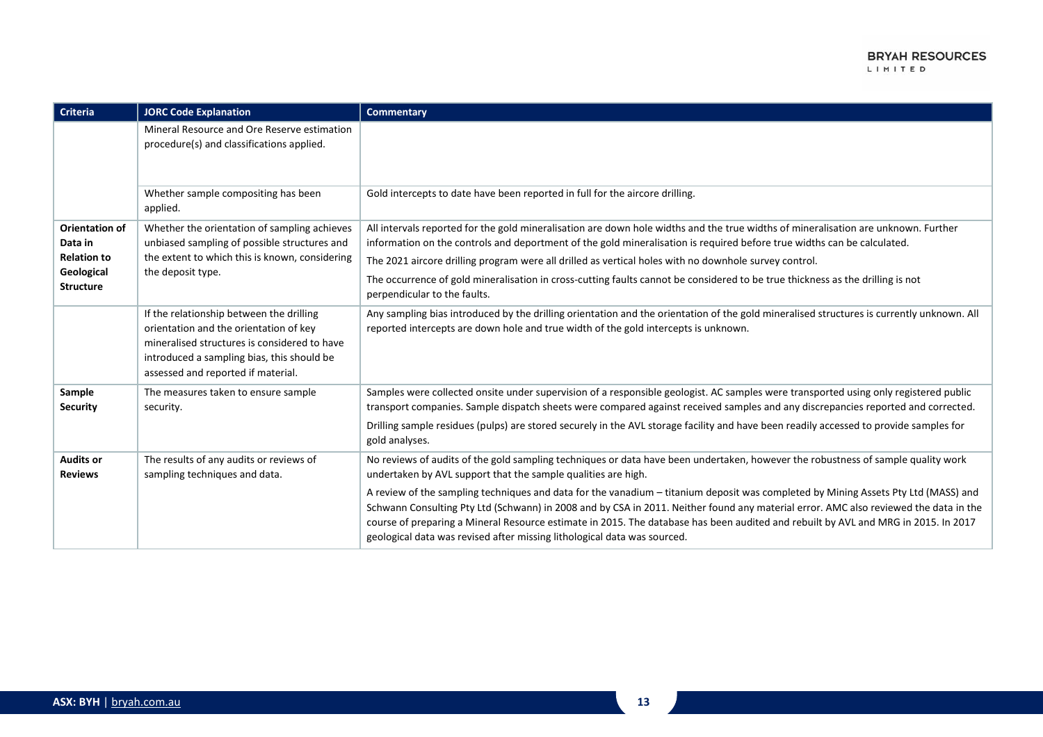| Criteria                                                                                 | <b>JORC Code Explanation</b>                                                                                                                                                                                           | <b>Commentary</b>                                                                                                                                                                                                                                                                                                                                                                                                                                                                                                                        |
|------------------------------------------------------------------------------------------|------------------------------------------------------------------------------------------------------------------------------------------------------------------------------------------------------------------------|------------------------------------------------------------------------------------------------------------------------------------------------------------------------------------------------------------------------------------------------------------------------------------------------------------------------------------------------------------------------------------------------------------------------------------------------------------------------------------------------------------------------------------------|
|                                                                                          | Mineral Resource and Ore Reserve estimation<br>procedure(s) and classifications applied.                                                                                                                               |                                                                                                                                                                                                                                                                                                                                                                                                                                                                                                                                          |
|                                                                                          | Whether sample compositing has been<br>applied.                                                                                                                                                                        | Gold intercepts to date have been reported in full for the aircore drilling.                                                                                                                                                                                                                                                                                                                                                                                                                                                             |
| <b>Orientation of</b><br>Data in<br><b>Relation to</b><br>Geological<br><b>Structure</b> | Whether the orientation of sampling achieves<br>unbiased sampling of possible structures and<br>the extent to which this is known, considering<br>the deposit type.                                                    | All intervals reported for the gold mineralisation are down hole widths and the true widths of mineralisation are unknown. Further<br>information on the controls and deportment of the gold mineralisation is required before true widths can be calculated.<br>The 2021 aircore drilling program were all drilled as vertical holes with no downhole survey control.<br>The occurrence of gold mineralisation in cross-cutting faults cannot be considered to be true thickness as the drilling is not<br>perpendicular to the faults. |
|                                                                                          | If the relationship between the drilling<br>orientation and the orientation of key<br>mineralised structures is considered to have<br>introduced a sampling bias, this should be<br>assessed and reported if material. | Any sampling bias introduced by the drilling orientation and the orientation of the gold mineralised structures is currently unknown. All<br>reported intercepts are down hole and true width of the gold intercepts is unknown.                                                                                                                                                                                                                                                                                                         |
| Sample<br><b>Security</b>                                                                | The measures taken to ensure sample<br>security.                                                                                                                                                                       | Samples were collected onsite under supervision of a responsible geologist. AC samples were transported using only registered public<br>transport companies. Sample dispatch sheets were compared against received samples and any discrepancies reported and corrected.                                                                                                                                                                                                                                                                 |
|                                                                                          |                                                                                                                                                                                                                        | Drilling sample residues (pulps) are stored securely in the AVL storage facility and have been readily accessed to provide samples for<br>gold analyses.                                                                                                                                                                                                                                                                                                                                                                                 |
| <b>Audits or</b><br><b>Reviews</b>                                                       | The results of any audits or reviews of<br>sampling techniques and data.                                                                                                                                               | No reviews of audits of the gold sampling techniques or data have been undertaken, however the robustness of sample quality work<br>undertaken by AVL support that the sample qualities are high.                                                                                                                                                                                                                                                                                                                                        |
|                                                                                          |                                                                                                                                                                                                                        | A review of the sampling techniques and data for the vanadium - titanium deposit was completed by Mining Assets Pty Ltd (MASS) and<br>Schwann Consulting Pty Ltd (Schwann) in 2008 and by CSA in 2011. Neither found any material error. AMC also reviewed the data in the<br>course of preparing a Mineral Resource estimate in 2015. The database has been audited and rebuilt by AVL and MRG in 2015. In 2017<br>geological data was revised after missing lithological data was sourced.                                             |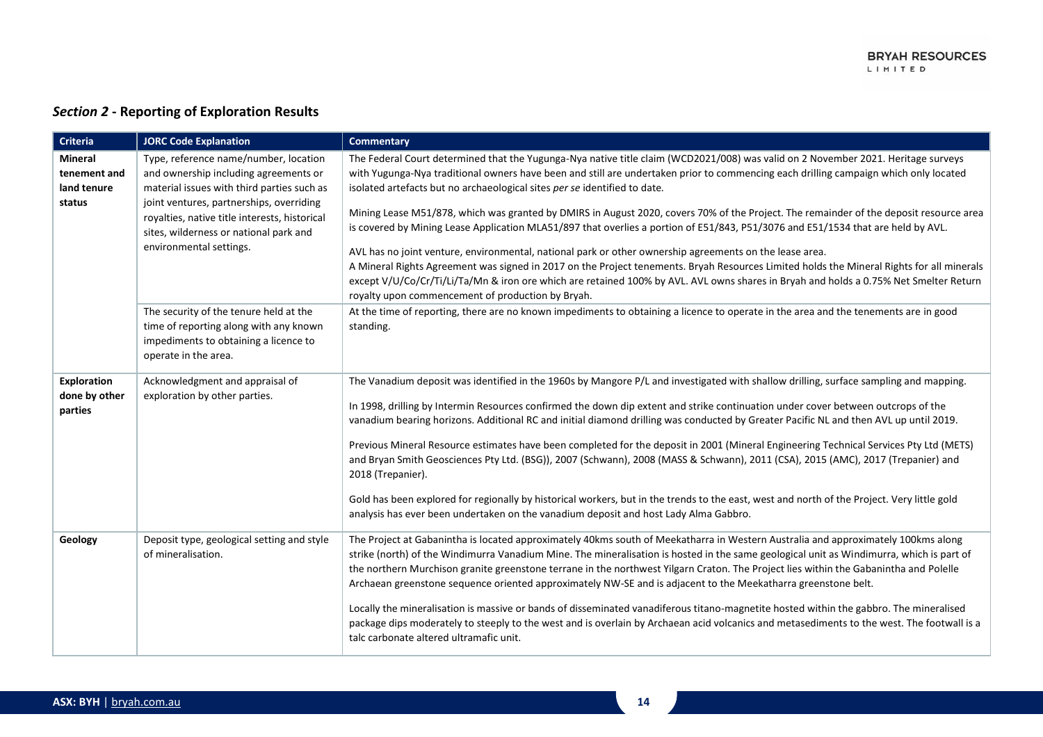## *Section 2* **- Reporting of Exploration Results**

| Criteria                                         | <b>JORC Code Explanation</b>                                                                                                                                                                                                                                                                   | <b>Commentary</b>                                                                                                                                                                                                                                                                                                                                                                                                                                                                                                                                                                                                                                                                                                                                                                                                                                                                                                                                                                                                                                                                          |
|--------------------------------------------------|------------------------------------------------------------------------------------------------------------------------------------------------------------------------------------------------------------------------------------------------------------------------------------------------|--------------------------------------------------------------------------------------------------------------------------------------------------------------------------------------------------------------------------------------------------------------------------------------------------------------------------------------------------------------------------------------------------------------------------------------------------------------------------------------------------------------------------------------------------------------------------------------------------------------------------------------------------------------------------------------------------------------------------------------------------------------------------------------------------------------------------------------------------------------------------------------------------------------------------------------------------------------------------------------------------------------------------------------------------------------------------------------------|
| Mineral<br>tenement and<br>land tenure<br>status | Type, reference name/number, location<br>and ownership including agreements or<br>material issues with third parties such as<br>joint ventures, partnerships, overriding<br>royalties, native title interests, historical<br>sites, wilderness or national park and<br>environmental settings. | The Federal Court determined that the Yugunga-Nya native title claim (WCD2021/008) was valid on 2 November 2021. Heritage surveys<br>with Yugunga-Nya traditional owners have been and still are undertaken prior to commencing each drilling campaign which only located<br>isolated artefacts but no archaeological sites per se identified to date.<br>Mining Lease M51/878, which was granted by DMIRS in August 2020, covers 70% of the Project. The remainder of the deposit resource area<br>is covered by Mining Lease Application MLA51/897 that overlies a portion of E51/843, P51/3076 and E51/1534 that are held by AVL.<br>AVL has no joint venture, environmental, national park or other ownership agreements on the lease area.<br>A Mineral Rights Agreement was signed in 2017 on the Project tenements. Bryah Resources Limited holds the Mineral Rights for all minerals<br>except V/U/Co/Cr/Ti/Li/Ta/Mn & iron ore which are retained 100% by AVL. AVL owns shares in Bryah and holds a 0.75% Net Smelter Return<br>royalty upon commencement of production by Bryah. |
|                                                  | The security of the tenure held at the<br>time of reporting along with any known<br>impediments to obtaining a licence to<br>operate in the area.                                                                                                                                              | At the time of reporting, there are no known impediments to obtaining a licence to operate in the area and the tenements are in good<br>standing.                                                                                                                                                                                                                                                                                                                                                                                                                                                                                                                                                                                                                                                                                                                                                                                                                                                                                                                                          |
| Exploration<br>done by other<br>parties          | Acknowledgment and appraisal of<br>exploration by other parties.                                                                                                                                                                                                                               | The Vanadium deposit was identified in the 1960s by Mangore P/L and investigated with shallow drilling, surface sampling and mapping.<br>In 1998, drilling by Intermin Resources confirmed the down dip extent and strike continuation under cover between outcrops of the<br>vanadium bearing horizons. Additional RC and initial diamond drilling was conducted by Greater Pacific NL and then AVL up until 2019.<br>Previous Mineral Resource estimates have been completed for the deposit in 2001 (Mineral Engineering Technical Services Pty Ltd (METS)<br>and Bryan Smith Geosciences Pty Ltd. (BSG)), 2007 (Schwann), 2008 (MASS & Schwann), 2011 (CSA), 2015 (AMC), 2017 (Trepanier) and<br>2018 (Trepanier).<br>Gold has been explored for regionally by historical workers, but in the trends to the east, west and north of the Project. Very little gold<br>analysis has ever been undertaken on the vanadium deposit and host Lady Alma Gabbro.                                                                                                                              |
| Geology                                          | Deposit type, geological setting and style<br>of mineralisation.                                                                                                                                                                                                                               | The Project at Gabanintha is located approximately 40kms south of Meekatharra in Western Australia and approximately 100kms along<br>strike (north) of the Windimurra Vanadium Mine. The mineralisation is hosted in the same geological unit as Windimurra, which is part of<br>the northern Murchison granite greenstone terrane in the northwest Yilgarn Craton. The Project lies within the Gabanintha and Polelle<br>Archaean greenstone sequence oriented approximately NW-SE and is adjacent to the Meekatharra greenstone belt.<br>Locally the mineralisation is massive or bands of disseminated vanadiferous titano-magnetite hosted within the gabbro. The mineralised<br>package dips moderately to steeply to the west and is overlain by Archaean acid volcanics and metasediments to the west. The footwall is a<br>talc carbonate altered ultramafic unit.                                                                                                                                                                                                                 |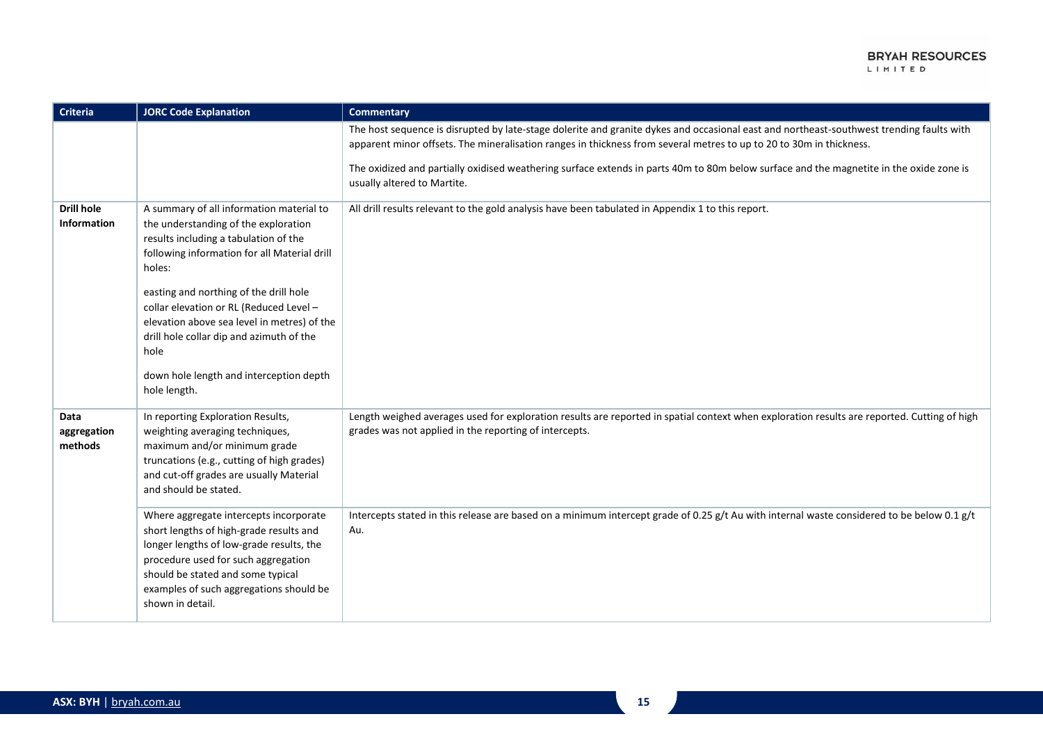| Criteria                                | <b>JORC Code Explanation</b>                                                                                                                                                                                                                                                                                                                                                                                                           | <b>Commentary</b>                                                                                                                                                                                                                                                                                                                                                                                                                         |
|-----------------------------------------|----------------------------------------------------------------------------------------------------------------------------------------------------------------------------------------------------------------------------------------------------------------------------------------------------------------------------------------------------------------------------------------------------------------------------------------|-------------------------------------------------------------------------------------------------------------------------------------------------------------------------------------------------------------------------------------------------------------------------------------------------------------------------------------------------------------------------------------------------------------------------------------------|
|                                         |                                                                                                                                                                                                                                                                                                                                                                                                                                        | The host sequence is disrupted by late-stage dolerite and granite dykes and occasional east and northeast-southwest trending faults with<br>apparent minor offsets. The mineralisation ranges in thickness from several metres to up to 20 to 30m in thickness.<br>The oxidized and partially oxidised weathering surface extends in parts 40m to 80m below surface and the magnetite in the oxide zone is<br>usually altered to Martite. |
| <b>Drill hole</b><br><b>Information</b> | A summary of all information material to<br>the understanding of the exploration<br>results including a tabulation of the<br>following information for all Material drill<br>holes:<br>easting and northing of the drill hole<br>collar elevation or RL (Reduced Level -<br>elevation above sea level in metres) of the<br>drill hole collar dip and azimuth of the<br>hole<br>down hole length and interception depth<br>hole length. | All drill results relevant to the gold analysis have been tabulated in Appendix 1 to this report.                                                                                                                                                                                                                                                                                                                                         |
| <b>Data</b><br>aggregation<br>methods   | In reporting Exploration Results,<br>weighting averaging techniques,<br>maximum and/or minimum grade<br>truncations (e.g., cutting of high grades)<br>and cut-off grades are usually Material<br>and should be stated.                                                                                                                                                                                                                 | Length weighed averages used for exploration results are reported in spatial context when exploration results are reported. Cutting of high<br>grades was not applied in the reporting of intercepts.                                                                                                                                                                                                                                     |
|                                         | Where aggregate intercepts incorporate<br>short lengths of high-grade results and<br>longer lengths of low-grade results, the<br>procedure used for such aggregation<br>should be stated and some typical<br>examples of such aggregations should be<br>shown in detail.                                                                                                                                                               | Intercepts stated in this release are based on a minimum intercept grade of 0.25 g/t Au with internal waste considered to be below 0.1 g/t<br>Au.                                                                                                                                                                                                                                                                                         |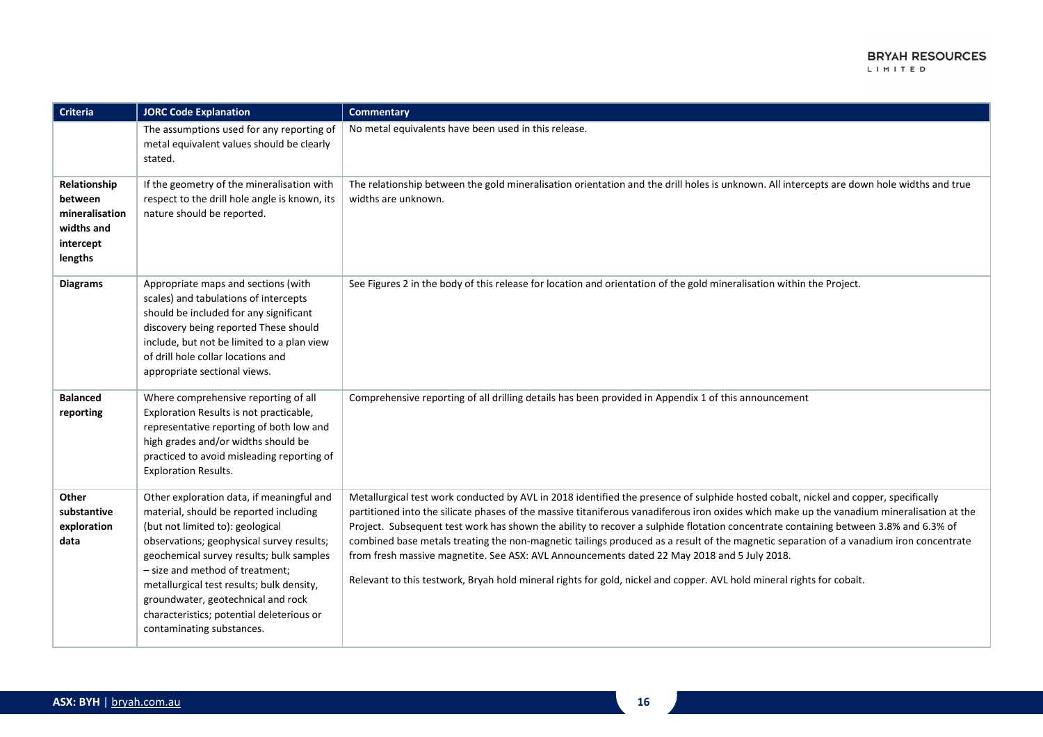| Criteria                                                                        | <b>JORC Code Explanation</b>                                                                                                                                                                                                                                                                                                                                                                                     | <b>Commentary</b>                                                                                                                                                                                                                                                                                                                                                                                                                                                                                                                                                                                                                                                                                                                                                                          |
|---------------------------------------------------------------------------------|------------------------------------------------------------------------------------------------------------------------------------------------------------------------------------------------------------------------------------------------------------------------------------------------------------------------------------------------------------------------------------------------------------------|--------------------------------------------------------------------------------------------------------------------------------------------------------------------------------------------------------------------------------------------------------------------------------------------------------------------------------------------------------------------------------------------------------------------------------------------------------------------------------------------------------------------------------------------------------------------------------------------------------------------------------------------------------------------------------------------------------------------------------------------------------------------------------------------|
|                                                                                 | The assumptions used for any reporting of<br>metal equivalent values should be clearly<br>stated.                                                                                                                                                                                                                                                                                                                | No metal equivalents have been used in this release.                                                                                                                                                                                                                                                                                                                                                                                                                                                                                                                                                                                                                                                                                                                                       |
| Relationship<br>between<br>mineralisation<br>widths and<br>intercept<br>lengths | If the geometry of the mineralisation with<br>respect to the drill hole angle is known, its<br>nature should be reported.                                                                                                                                                                                                                                                                                        | The relationship between the gold mineralisation orientation and the drill holes is unknown. All intercepts are down hole widths and true<br>widths are unknown.                                                                                                                                                                                                                                                                                                                                                                                                                                                                                                                                                                                                                           |
| <b>Diagrams</b>                                                                 | Appropriate maps and sections (with<br>scales) and tabulations of intercepts<br>should be included for any significant<br>discovery being reported These should<br>include, but not be limited to a plan view<br>of drill hole collar locations and<br>appropriate sectional views.                                                                                                                              | See Figures 2 in the body of this release for location and orientation of the gold mineralisation within the Project.                                                                                                                                                                                                                                                                                                                                                                                                                                                                                                                                                                                                                                                                      |
| <b>Balanced</b><br>reporting                                                    | Where comprehensive reporting of all<br>Exploration Results is not practicable,<br>representative reporting of both low and<br>high grades and/or widths should be<br>practiced to avoid misleading reporting of<br><b>Exploration Results.</b>                                                                                                                                                                  | Comprehensive reporting of all drilling details has been provided in Appendix 1 of this announcement                                                                                                                                                                                                                                                                                                                                                                                                                                                                                                                                                                                                                                                                                       |
| Other<br>substantive<br>exploration<br>data                                     | Other exploration data, if meaningful and<br>material, should be reported including<br>(but not limited to): geological<br>observations; geophysical survey results;<br>geochemical survey results; bulk samples<br>- size and method of treatment;<br>metallurgical test results; bulk density,<br>groundwater, geotechnical and rock<br>characteristics; potential deleterious or<br>contaminating substances. | Metallurgical test work conducted by AVL in 2018 identified the presence of sulphide hosted cobalt, nickel and copper, specifically<br>partitioned into the silicate phases of the massive titaniferous vanadiferous iron oxides which make up the vanadium mineralisation at the<br>Project. Subsequent test work has shown the ability to recover a sulphide flotation concentrate containing between 3.8% and 6.3% of<br>combined base metals treating the non-magnetic tailings produced as a result of the magnetic separation of a vanadium iron concentrate<br>from fresh massive magnetite. See ASX: AVL Announcements dated 22 May 2018 and 5 July 2018.<br>Relevant to this testwork, Bryah hold mineral rights for gold, nickel and copper. AVL hold mineral rights for cobalt. |